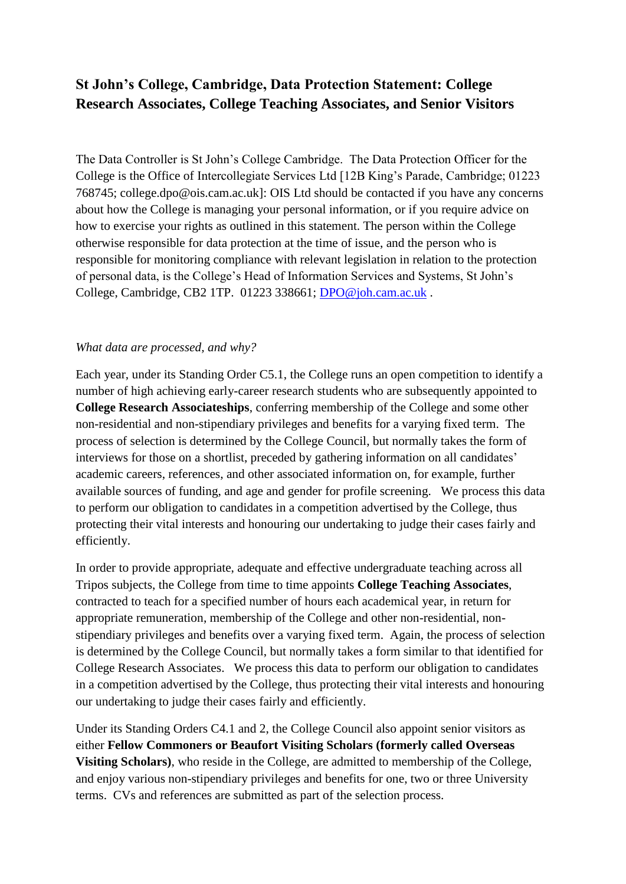# **St John's College, Cambridge, Data Protection Statement: College Research Associates, College Teaching Associates, and Senior Visitors**

The Data Controller is St John's College Cambridge. The Data Protection Officer for the College is the Office of Intercollegiate Services Ltd [12B King's Parade, Cambridge; 01223 768745; college.dpo@ois.cam.ac.uk]: OIS Ltd should be contacted if you have any concerns about how the College is managing your personal information, or if you require advice on how to exercise your rights as outlined in this statement. The person within the College otherwise responsible for data protection at the time of issue, and the person who is responsible for monitoring compliance with relevant legislation in relation to the protection of personal data, is the College's Head of Information Services and Systems, St John's College, Cambridge, CB2 1TP. 01223 338661; [DPO@joh.cam.ac.uk](mailto:DPO@joh.cam.ac.uk) .

## *What data are processed, and why?*

Each year, under its Standing Order C5.1, the College runs an open competition to identify a number of high achieving early-career research students who are subsequently appointed to **College Research Associateships**, conferring membership of the College and some other non-residential and non-stipendiary privileges and benefits for a varying fixed term. The process of selection is determined by the College Council, but normally takes the form of interviews for those on a shortlist, preceded by gathering information on all candidates' academic careers, references, and other associated information on, for example, further available sources of funding, and age and gender for profile screening. We process this data to perform our obligation to candidates in a competition advertised by the College, thus protecting their vital interests and honouring our undertaking to judge their cases fairly and efficiently.

In order to provide appropriate, adequate and effective undergraduate teaching across all Tripos subjects, the College from time to time appoints **College Teaching Associates**, contracted to teach for a specified number of hours each academical year, in return for appropriate remuneration, membership of the College and other non-residential, nonstipendiary privileges and benefits over a varying fixed term. Again, the process of selection is determined by the College Council, but normally takes a form similar to that identified for College Research Associates. We process this data to perform our obligation to candidates in a competition advertised by the College, thus protecting their vital interests and honouring our undertaking to judge their cases fairly and efficiently.

Under its Standing Orders C4.1 and 2, the College Council also appoint senior visitors as either **Fellow Commoners or Beaufort Visiting Scholars (formerly called Overseas Visiting Scholars)**, who reside in the College, are admitted to membership of the College, and enjoy various non-stipendiary privileges and benefits for one, two or three University terms. CVs and references are submitted as part of the selection process.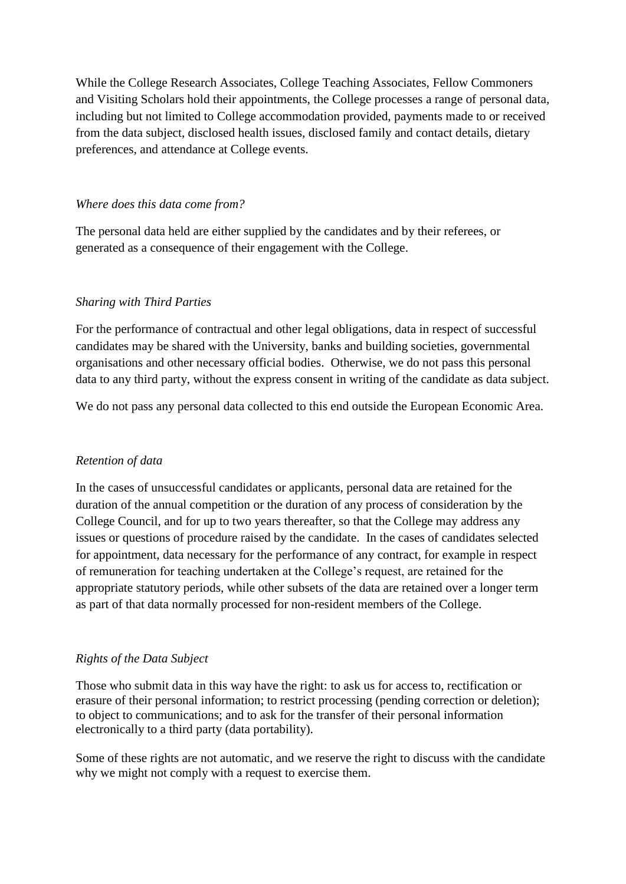While the College Research Associates, College Teaching Associates, Fellow Commoners and Visiting Scholars hold their appointments, the College processes a range of personal data, including but not limited to College accommodation provided, payments made to or received from the data subject, disclosed health issues, disclosed family and contact details, dietary preferences, and attendance at College events.

### *Where does this data come from?*

The personal data held are either supplied by the candidates and by their referees, or generated as a consequence of their engagement with the College.

## *Sharing with Third Parties*

For the performance of contractual and other legal obligations, data in respect of successful candidates may be shared with the University, banks and building societies, governmental organisations and other necessary official bodies. Otherwise, we do not pass this personal data to any third party, without the express consent in writing of the candidate as data subject.

We do not pass any personal data collected to this end outside the European Economic Area.

## *Retention of data*

In the cases of unsuccessful candidates or applicants, personal data are retained for the duration of the annual competition or the duration of any process of consideration by the College Council, and for up to two years thereafter, so that the College may address any issues or questions of procedure raised by the candidate. In the cases of candidates selected for appointment, data necessary for the performance of any contract, for example in respect of remuneration for teaching undertaken at the College's request, are retained for the appropriate statutory periods, while other subsets of the data are retained over a longer term as part of that data normally processed for non-resident members of the College.

## *Rights of the Data Subject*

Those who submit data in this way have the right: to ask us for access to, rectification or erasure of their personal information; to restrict processing (pending correction or deletion); to object to communications; and to ask for the transfer of their personal information electronically to a third party (data portability).

Some of these rights are not automatic, and we reserve the right to discuss with the candidate why we might not comply with a request to exercise them.